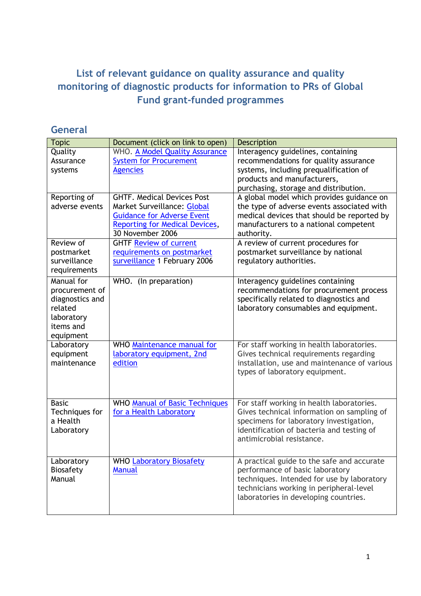## **List of relevant guidance on quality assurance and quality monitoring of diagnostic products for information to PRs of Global Fund grant-funded programmes**

#### **General**

| <b>Topic</b>            | Document (click on link to open)                 | <b>Description</b>                                                            |
|-------------------------|--------------------------------------------------|-------------------------------------------------------------------------------|
| Quality                 | WHO. A Model Quality Assurance                   | Interagency guidelines, containing                                            |
| Assurance               | <b>System for Procurement</b>                    | recommendations for quality assurance                                         |
| systems                 | <b>Agencies</b>                                  | systems, including prequalification of                                        |
|                         |                                                  | products and manufacturers,                                                   |
|                         |                                                  | purchasing, storage and distribution.                                         |
| Reporting of            | <b>GHTF. Medical Devices Post</b>                | A global model which provides guidance on                                     |
| adverse events          | Market Surveillance: Global                      | the type of adverse events associated with                                    |
|                         | <b>Guidance for Adverse Event</b>                | medical devices that should be reported by                                    |
|                         | Reporting for Medical Devices,                   | manufacturers to a national competent                                         |
|                         | 30 November 2006                                 | authority.                                                                    |
| Review of               | <b>GHTF Review of current</b>                    | A review of current procedures for                                            |
| postmarket              | requirements on postmarket                       | postmarket surveillance by national                                           |
| surveillance            | surveillance 1 February 2006                     | regulatory authorities.                                                       |
| requirements            |                                                  |                                                                               |
| Manual for              | WHO. (In preparation)                            | Interagency guidelines containing                                             |
| procurement of          |                                                  | recommendations for procurement process                                       |
| diagnostics and         |                                                  | specifically related to diagnostics and                                       |
| related                 |                                                  | laboratory consumables and equipment.                                         |
| laboratory              |                                                  |                                                                               |
| items and               |                                                  |                                                                               |
| equipment               |                                                  |                                                                               |
| Laboratory              | WHO Maintenance manual for                       | For staff working in health laboratories.                                     |
| equipment               | laboratory equipment, 2nd                        | Gives technical requirements regarding                                        |
| maintenance             | edition                                          | installation, use and maintenance of various                                  |
|                         |                                                  | types of laboratory equipment.                                                |
|                         |                                                  |                                                                               |
|                         |                                                  |                                                                               |
| <b>Basic</b>            | <b>WHO Manual of Basic Techniques</b>            | For staff working in health laboratories.                                     |
| Techniques for          | for a Health Laboratory                          | Gives technical information on sampling of                                    |
| a Health                |                                                  | specimens for laboratory investigation,                                       |
| Laboratory              |                                                  | identification of bacteria and testing of                                     |
|                         |                                                  | antimicrobial resistance.                                                     |
|                         |                                                  |                                                                               |
|                         |                                                  |                                                                               |
| Laboratory<br>Biosafety | <b>WHO Laboratory Biosafety</b><br><b>Manual</b> | A practical guide to the safe and accurate<br>performance of basic laboratory |
| Manual                  |                                                  | techniques. Intended for use by laboratory                                    |
|                         |                                                  | technicians working in peripheral-level                                       |
|                         |                                                  | laboratories in developing countries.                                         |
|                         |                                                  |                                                                               |
|                         |                                                  |                                                                               |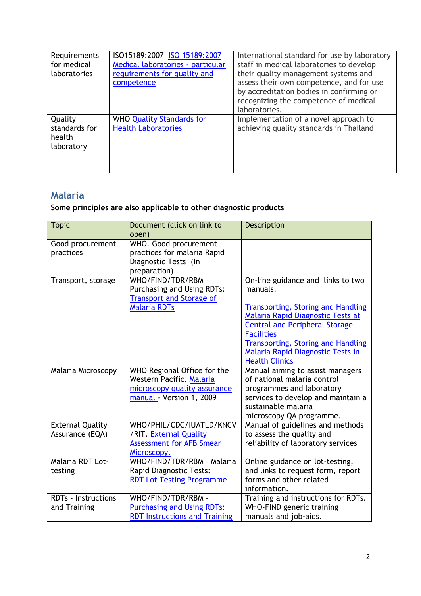| Requirements<br>for medical<br>laboratories      | ISO15189:2007 ISO 15189:2007<br>Medical laboratories - particular<br>requirements for quality and<br>competence | International standard for use by laboratory<br>staff in medical laboratories to develop<br>their quality management systems and<br>assess their own competence, and for use<br>by accreditation bodies in confirming or<br>recognizing the competence of medical<br>laboratories. |
|--------------------------------------------------|-----------------------------------------------------------------------------------------------------------------|------------------------------------------------------------------------------------------------------------------------------------------------------------------------------------------------------------------------------------------------------------------------------------|
| Quality<br>standards for<br>health<br>laboratory | <b>WHO Quality Standards for</b><br><b>Health Laboratories</b>                                                  | Implementation of a novel approach to<br>achieving quality standards in Thailand                                                                                                                                                                                                   |

### **Malaria**

#### **Some principles are also applicable to other diagnostic products**

| <b>Topic</b>               | Document (click on link to           | <b>Description</b>                        |
|----------------------------|--------------------------------------|-------------------------------------------|
|                            | open)                                |                                           |
| Good procurement           | WHO. Good procurement                |                                           |
| practices                  | practices for malaria Rapid          |                                           |
|                            | Diagnostic Tests (In                 |                                           |
|                            | preparation)                         |                                           |
| Transport, storage         | WHO/FIND/TDR/RBM -                   | On-line guidance and links to two         |
|                            | Purchasing and Using RDTs:           | manuals:                                  |
|                            | <b>Transport and Storage of</b>      |                                           |
|                            | <b>Malaria RDTs</b>                  | <b>Transporting, Storing and Handling</b> |
|                            |                                      | Malaria Rapid Diagnostic Tests at         |
|                            |                                      | <b>Central and Peripheral Storage</b>     |
|                            |                                      | <b>Facilities</b>                         |
|                            |                                      | <b>Transporting, Storing and Handling</b> |
|                            |                                      | Malaria Rapid Diagnostic Tests in         |
|                            |                                      | <b>Health Clinics</b>                     |
| Malaria Microscopy         | WHO Regional Office for the          | Manual aiming to assist managers          |
|                            | Western Pacific. Malaria             | of national malaria control               |
|                            | microscopy quality assurance         | programmes and laboratory                 |
|                            | manual - Version 1, 2009             | services to develop and maintain a        |
|                            |                                      | sustainable malaria                       |
|                            |                                      | microscopy QA programme.                  |
| <b>External Quality</b>    | WHO/PHIL/CDC/IUATLD/KNCV             | Manual of guidelines and methods          |
| Assurance (EQA)            | /RIT. External Quality               | to assess the quality and                 |
|                            | <b>Assessment for AFB Smear</b>      | reliability of laboratory services        |
|                            | Microscopy.                          |                                           |
| Malaria RDT Lot-           | WHO/FIND/TDR/RBM - Malaria           | Online guidance on lot-testing,           |
| testing                    | Rapid Diagnostic Tests:              | and links to request form, report         |
|                            | <b>RDT Lot Testing Programme</b>     | forms and other related                   |
|                            |                                      | information.                              |
| <b>RDTs - Instructions</b> | WHO/FIND/TDR/RBM -                   | Training and instructions for RDTs.       |
| and Training               | <b>Purchasing and Using RDTs:</b>    | WHO-FIND generic training                 |
|                            | <b>RDT Instructions and Training</b> | manuals and job-aids.                     |